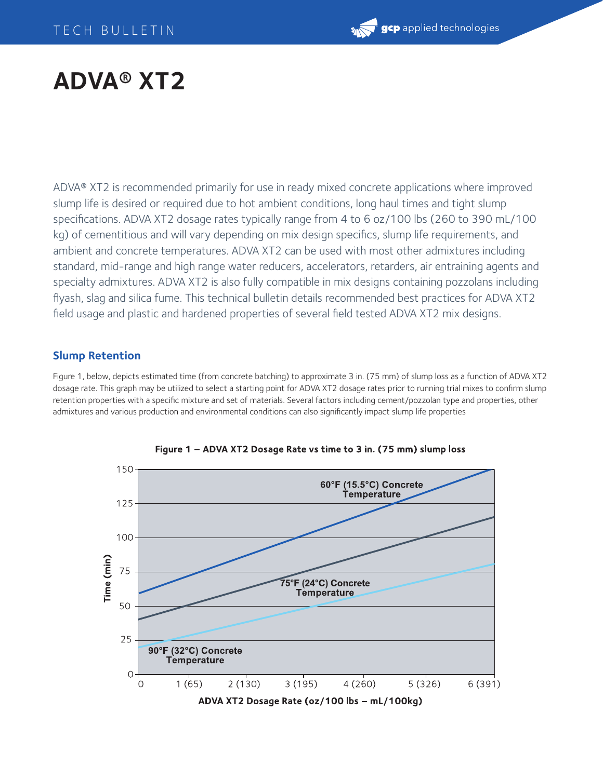# **ADVA® XT2**

ADVA® XT2 is recommended primarily for use in ready mixed concrete applications where improved slump life is desired or required due to hot ambient conditions, long haul times and tight slump specifications. ADVA XT2 dosage rates typically range from 4 to 6 oz/100 lbs (260 to 390 mL/100 kg) of cementitious and will vary depending on mix design specifics, slump life requirements, and ambient and concrete temperatures. ADVA XT2 can be used with most other admixtures including standard, mid-range and high range water reducers, accelerators, retarders, air entraining agents and specialty admixtures. ADVA XT2 is also fully compatible in mix designs containing pozzolans including flyash, slag and silica fume. This technical bulletin details recommended best practices for ADVA XT2 field usage and plastic and hardened properties of several field tested ADVA XT2 mix designs.

# **Slump Retention**

Figure 1, below, depicts estimated time (from concrete batching) to approximate 3 in. (75 mm) of slump loss as a function of ADVA XT2 dosage rate. This graph may be utilized to select a starting point for ADVA XT2 dosage rates prior to running trial mixes to confirm slump retention properties with a specific mixture and set of materials. Several factors including cement/pozzolan type and properties, other admixtures and various production and environmental conditions can also significantly impact slump life properties



Figure 1 - ADVA XT2 Dosage Rate vs time to 3 in. (75 mm) slump loss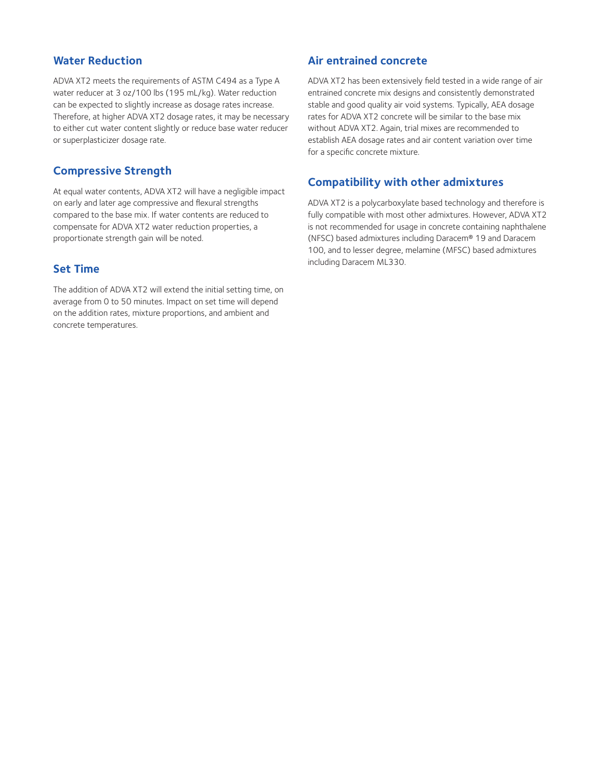### **Water Reduction**

ADVA XT2 meets the requirements of ASTM C494 as a Type A water reducer at 3 oz/100 lbs (195 mL/kg). Water reduction can be expected to slightly increase as dosage rates increase. Therefore, at higher ADVA XT2 dosage rates, it may be necessary to either cut water content slightly or reduce base water reducer or superplasticizer dosage rate.

# **Compressive Strength**

At equal water contents, ADVA XT2 will have a negligible impact on early and later age compressive and flexural strengths compared to the base mix. If water contents are reduced to compensate for ADVA XT2 water reduction properties, a proportionate strength gain will be noted.

#### **Set Time**

The addition of ADVA XT2 will extend the initial setting time, on average from 0 to 50 minutes. Impact on set time will depend on the addition rates, mixture proportions, and ambient and concrete temperatures.

#### **Air entrained concrete**

ADVA XT2 has been extensively field tested in a wide range of air entrained concrete mix designs and consistently demonstrated stable and good quality air void systems. Typically, AEA dosage rates for ADVA XT2 concrete will be similar to the base mix without ADVA XT2. Again, trial mixes are recommended to establish AEA dosage rates and air content variation over time for a specific concrete mixture.

## **Compatibility with other admixtures**

ADVA XT2 is a polycarboxylate based technology and therefore is fully compatible with most other admixtures. However, ADVA XT2 is not recommended for usage in concrete containing naphthalene (NFSC) based admixtures including Daracem® 19 and Daracem 100, and to lesser degree, melamine (MFSC) based admixtures including Daracem ML330.